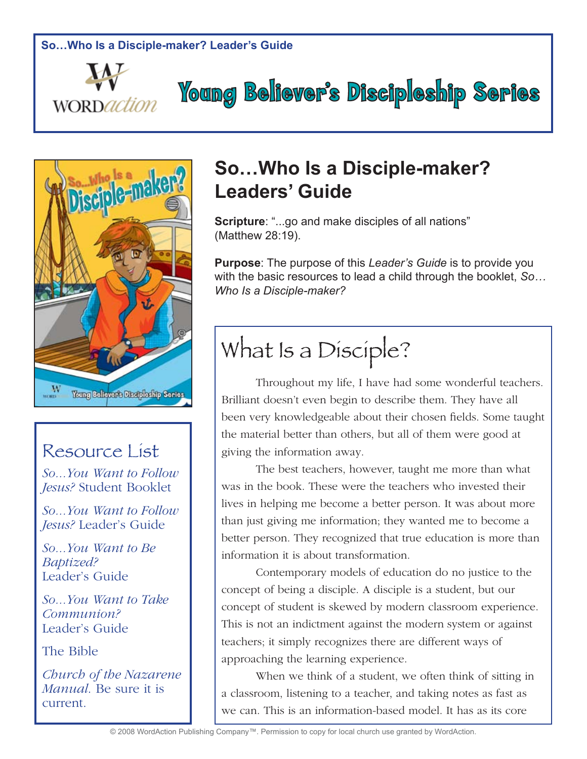



### Resource List

*So...You Want to Follow Jesus?* Student Booklet

*So...You Want to Follow Jesus?* Leader's Guide

*So...You Want to Be Baptized?*  Leader's Guide

*So...You Want to Take Communion?* Leader's Guide

The Bible

*Church of the Nazarene Manual*. Be sure it is current.

## **So…Who Is a Disciple-maker? Leaders' Guide**

**Young Believer's Discipleship Series** 

**Scripture**: "...go and make disciples of all nations" (Matthew 28:19).

**Purpose**: The purpose of this *Leader's Guide* is to provide you with the basic resources to lead a child through the booklet, *So… Who Is a Disciple-maker?*

# What Is a Disciple?

Throughout my life, I have had some wonderful teachers. Brilliant doesn't even begin to describe them. They have all been very knowledgeable about their chosen fields. Some taught the material better than others, but all of them were good at giving the information away.

The best teachers, however, taught me more than what was in the book. These were the teachers who invested their lives in helping me become a better person. It was about more than just giving me information; they wanted me to become a better person. They recognized that true education is more than information it is about transformation.

Contemporary models of education do no justice to the concept of being a disciple. A disciple is a student, but our concept of student is skewed by modern classroom experience. This is not an indictment against the modern system or against teachers; it simply recognizes there are different ways of approaching the learning experience.

When we think of a student, we often think of sitting in a classroom, listening to a teacher, and taking notes as fast as we can. This is an information-based model. It has as its core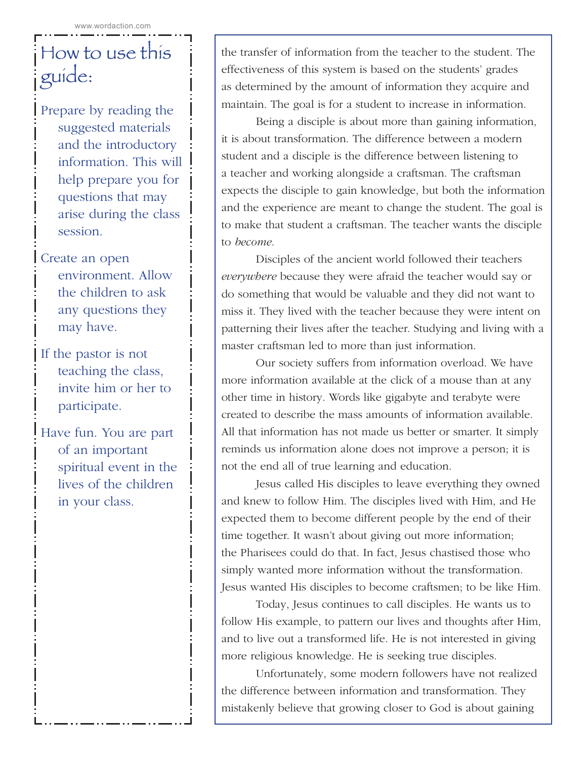# How to use this guide:

Prepare by reading the suggested materials and the introductory information. This will help prepare you for questions that may arise during the class session.

- Create an open environment. Allow the children to ask any questions they may have.
- If the pastor is not teaching the class, invite him or her to participate.
- Have fun. You are part of an important spiritual event in the lives of the children in your class.

the transfer of information from the teacher to the student. The effectiveness of this system is based on the students' grades as determined by the amount of information they acquire and maintain. The goal is for a student to increase in information.

Being a disciple is about more than gaining information, it is about transformation. The difference between a modern student and a disciple is the difference between listening to a teacher and working alongside a craftsman. The craftsman expects the disciple to gain knowledge, but both the information and the experience are meant to change the student. The goal is to make that student a craftsman. The teacher wants the disciple to *become*.

Disciples of the ancient world followed their teachers *everywhere* because they were afraid the teacher would say or do something that would be valuable and they did not want to miss it. They lived with the teacher because they were intent on patterning their lives after the teacher. Studying and living with a master craftsman led to more than just information.

Our society suffers from information overload. We have more information available at the click of a mouse than at any other time in history. Words like gigabyte and terabyte were created to describe the mass amounts of information available. All that information has not made us better or smarter. It simply reminds us information alone does not improve a person; it is not the end all of true learning and education.

Jesus called His disciples to leave everything they owned and knew to follow Him. The disciples lived with Him, and He expected them to become different people by the end of their time together. It wasn't about giving out more information; the Pharisees could do that. In fact, Jesus chastised those who simply wanted more information without the transformation. Jesus wanted His disciples to become craftsmen; to be like Him.

Today, Jesus continues to call disciples. He wants us to follow His example, to pattern our lives and thoughts after Him, and to live out a transformed life. He is not interested in giving more religious knowledge. He is seeking true disciples.

Unfortunately, some modern followers have not realized the difference between information and transformation. They mistakenly believe that growing closer to God is about gaining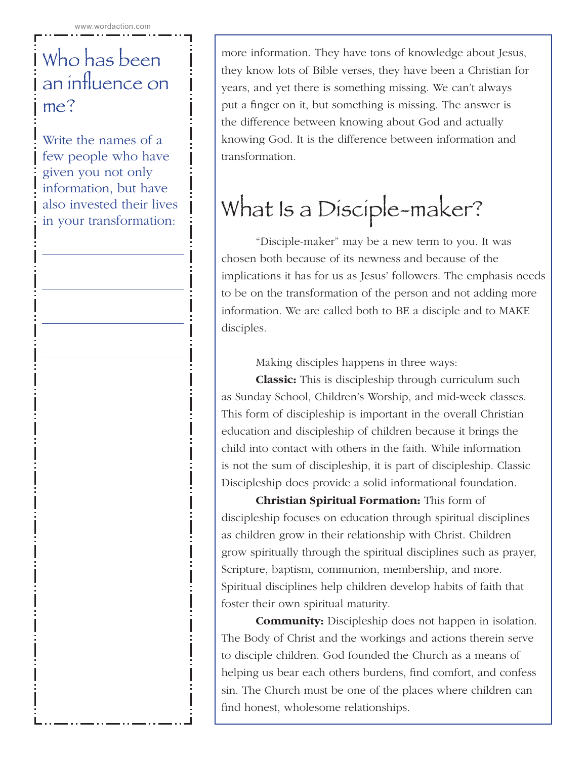# Who has been an influence on me?

Write the names of a few people who have given you not only information, but have also invested their lives in your transformation:

more information. They have tons of knowledge about Jesus, they know lots of Bible verses, they have been a Christian for years, and yet there is something missing. We can't always put a finger on it, but something is missing. The answer is the difference between knowing about God and actually knowing God. It is the difference between information and transformation.

# What Is a Disciple-maker?

"Disciple-maker" may be a new term to you. It was chosen both because of its newness and because of the implications it has for us as Jesus' followers. The emphasis needs to be on the transformation of the person and not adding more information. We are called both to BE a disciple and to MAKE disciples.

Making disciples happens in three ways:

**Classic:** This is discipleship through curriculum such as Sunday School, Children's Worship, and mid-week classes. This form of discipleship is important in the overall Christian education and discipleship of children because it brings the child into contact with others in the faith. While information is not the sum of discipleship, it is part of discipleship. Classic Discipleship does provide a solid informational foundation.

**Christian Spiritual Formation:** This form of discipleship focuses on education through spiritual disciplines as children grow in their relationship with Christ. Children grow spiritually through the spiritual disciplines such as prayer, Scripture, baptism, communion, membership, and more. Spiritual disciplines help children develop habits of faith that foster their own spiritual maturity.

**Community:** Discipleship does not happen in isolation. The Body of Christ and the workings and actions therein serve to disciple children. God founded the Church as a means of helping us bear each others burdens, find comfort, and confess sin. The Church must be one of the places where children can find honest, wholesome relationships.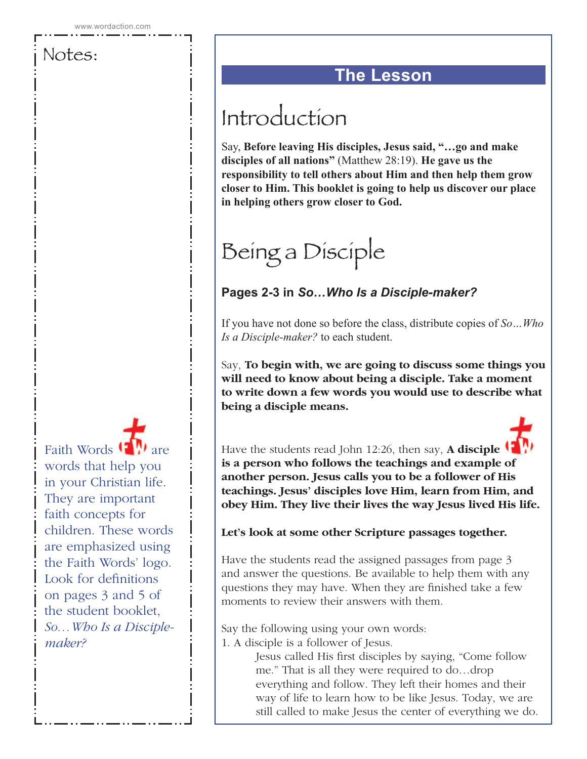Faith Words (**1** ) are words that help you in your Christian life. They are important faith concepts for children. These words are emphasized using the Faith Words' logo. Look for definitions on pages 3 and 5 of the student booklet, *So…Who Is a Disciplemaker?*

### **The Lesson**

# Introduction

Say, **Before leaving His disciples, Jesus said, "…go and make disciples of all nations"** (Matthew 28:19). **He gave us the responsibility to tell others about Him and then help them grow closer to Him. This booklet is going to help us discover our place in helping others grow closer to God.**

# Being a Disciple

### **Pages 2-3 in** *So…Who Is a Disciple-maker?*

If you have not done so before the class, distribute copies of *So…Who Is a Disciple-maker?* to each student.

Say, **To begin with, we are going to discuss some things you will need to know about being a disciple. Take a moment to write down a few words you would use to describe what being a disciple means.** 

Have the students read John 12:26, then say, **A disciple is a person who follows the teachings and example of another person. Jesus calls you to be a follower of His teachings. Jesus' disciples love Him, learn from Him, and obey Him. They live their lives the way Jesus lived His life.**

### **Let's look at some other Scripture passages together.**

Have the students read the assigned passages from page 3 and answer the questions. Be available to help them with any questions they may have. When they are finished take a few moments to review their answers with them.

Say the following using your own words:

1. A disciple is a follower of Jesus.

Jesus called His first disciples by saying, "Come follow me." That is all they were required to do…drop everything and follow. They left their homes and their way of life to learn how to be like Jesus. Today, we are still called to make Jesus the center of everything we do.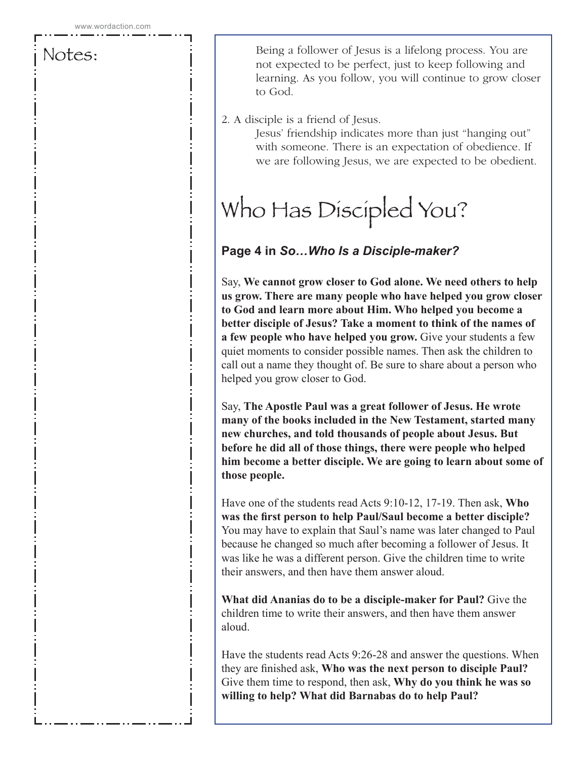Being a follower of Jesus is a lifelong process. You are not expected to be perfect, just to keep following and learning. As you follow, you will continue to grow closer to God.

#### 2. A disciple is a friend of Jesus.

Jesus' friendship indicates more than just "hanging out" with someone. There is an expectation of obedience. If we are following Jesus, we are expected to be obedient.

# Who Has Discipled You?

### **Page 4 in** *So…Who Is a Disciple-maker?*

Say, **We cannot grow closer to God alone. We need others to help us grow. There are many people who have helped you grow closer to God and learn more about Him. Who helped you become a better disciple of Jesus? Take a moment to think of the names of a few people who have helped you grow.** Give your students a few quiet moments to consider possible names. Then ask the children to call out a name they thought of. Be sure to share about a person who helped you grow closer to God.

Say, **The Apostle Paul was a great follower of Jesus. He wrote many of the books included in the New Testament, started many new churches, and told thousands of people about Jesus. But before he did all of those things, there were people who helped him become a better disciple. We are going to learn about some of those people.**

Have one of the students read Acts 9:10-12, 17-19. Then ask, **Who was the first person to help Paul/Saul become a better disciple?** You may have to explain that Saul's name was later changed to Paul because he changed so much after becoming a follower of Jesus. It was like he was a different person. Give the children time to write their answers, and then have them answer aloud.

**What did Ananias do to be a disciple-maker for Paul?** Give the children time to write their answers, and then have them answer aloud.

Have the students read Acts 9:26-28 and answer the questions. When they are finished ask, **Who was the next person to disciple Paul?** Give them time to respond, then ask, **Why do you think he was so willing to help? What did Barnabas do to help Paul?**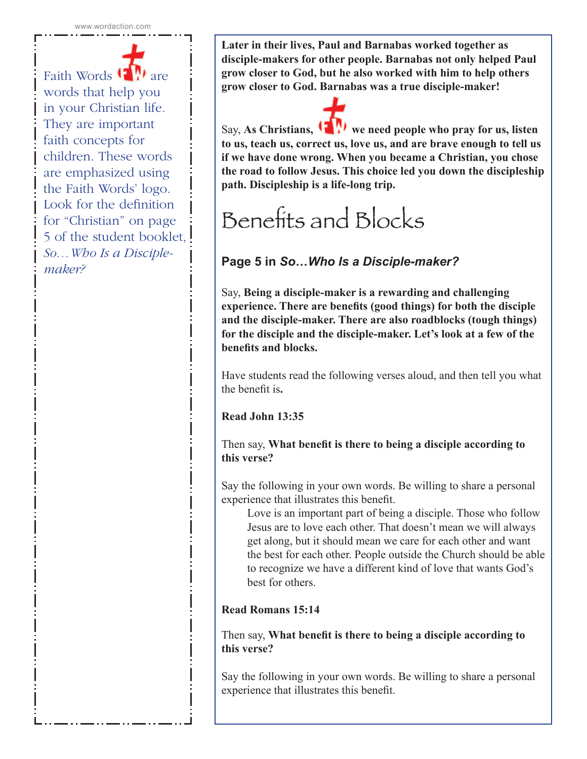Faith Words <sup>(1</sup> M) are words that help you in your Christian life. They are important faith concepts for children. These words are emphasized using the Faith Words' logo. Look for the definition for "Christian" on page 5 of the student booklet, *So…Who Is a Disciplemaker?*

**Later in their lives, Paul and Barnabas worked together as disciple-makers for other people. Barnabas not only helped Paul grow closer to God, but he also worked with him to help others grow closer to God. Barnabas was a true disciple-maker!**

Say, As Christians, **W** we need people who pray for us, listen **to us, teach us, correct us, love us, and are brave enough to tell us if we have done wrong. When you became a Christian, you chose the road to follow Jesus. This choice led you down the discipleship path. Discipleship is a life-long trip.** 

# Benefits and Blocks

### **Page 5 in** *So…Who Is a Disciple-maker?*

Say, **Being a disciple-maker is a rewarding and challenging experience. There are benefits (good things) for both the disciple and the disciple-maker. There are also roadblocks (tough things) for the disciple and the disciple-maker. Let's look at a few of the benefits and blocks.**

Have students read the following verses aloud, and then tell you what the benefit is**.** 

**Read John 13:35**

Then say, **What benefit is there to being a disciple according to this verse?**

Say the following in your own words. Be willing to share a personal experience that illustrates this benefit.

Love is an important part of being a disciple. Those who follow Jesus are to love each other. That doesn't mean we will always get along, but it should mean we care for each other and want the best for each other. People outside the Church should be able to recognize we have a different kind of love that wants God's best for others.

**Read Romans 15:14**

Then say, **What benefit is there to being a disciple according to this verse?**

Say the following in your own words. Be willing to share a personal experience that illustrates this benefit.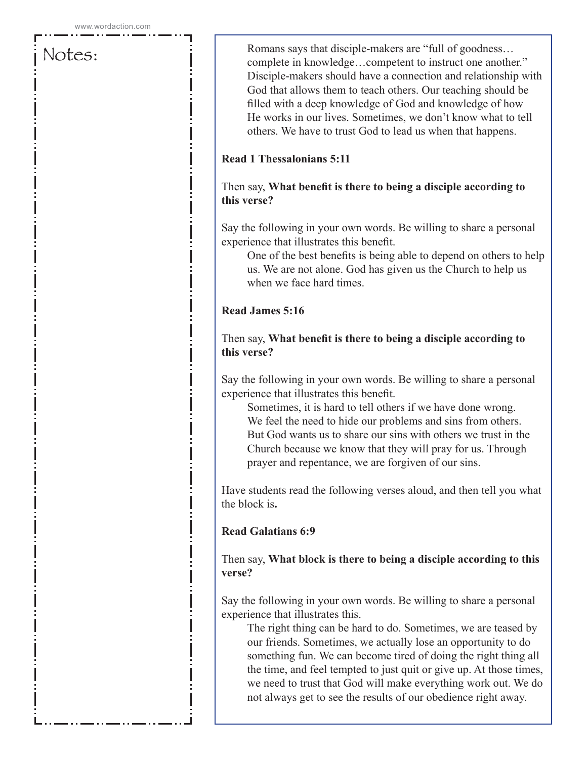Romans says that disciple-makers are "full of goodness… complete in knowledge…competent to instruct one another." Disciple-makers should have a connection and relationship with God that allows them to teach others. Our teaching should be filled with a deep knowledge of God and knowledge of how He works in our lives. Sometimes, we don't know what to tell others. We have to trust God to lead us when that happens.

#### **Read 1 Thessalonians 5:11**

#### Then say, **What benefit is there to being a disciple according to this verse?**

Say the following in your own words. Be willing to share a personal experience that illustrates this benefit.

One of the best benefits is being able to depend on others to help us. We are not alone. God has given us the Church to help us when we face hard times.

#### **Read James 5:16**

Then say, **What benefit is there to being a disciple according to this verse?**

Say the following in your own words. Be willing to share a personal experience that illustrates this benefit.

Sometimes, it is hard to tell others if we have done wrong. We feel the need to hide our problems and sins from others. But God wants us to share our sins with others we trust in the Church because we know that they will pray for us. Through prayer and repentance, we are forgiven of our sins.

Have students read the following verses aloud, and then tell you what the block is**.** 

#### **Read Galatians 6:9**

Then say, **What block is there to being a disciple according to this verse?**

Say the following in your own words. Be willing to share a personal experience that illustrates this.

The right thing can be hard to do. Sometimes, we are teased by our friends. Sometimes, we actually lose an opportunity to do something fun. We can become tired of doing the right thing all the time, and feel tempted to just quit or give up. At those times, we need to trust that God will make everything work out. We do not always get to see the results of our obedience right away.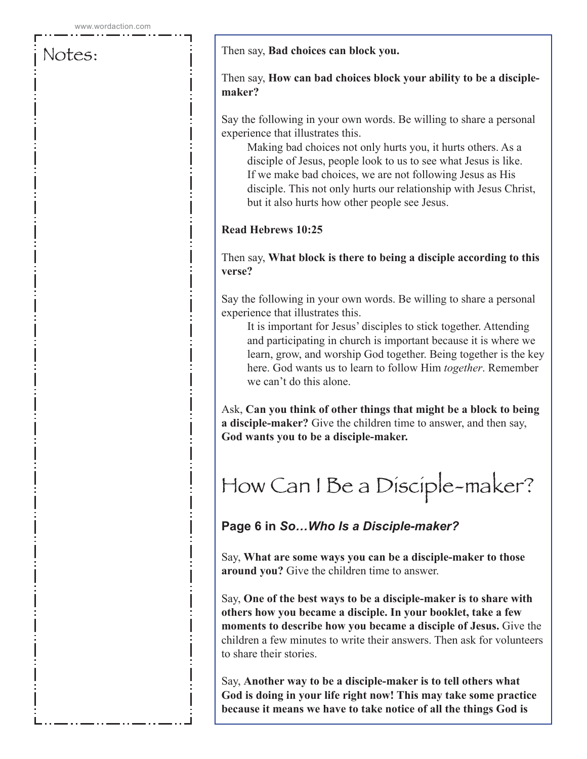#### Then say, **Bad choices can block you.**

#### Then say, **How can bad choices block your ability to be a disciplemaker?**

Say the following in your own words. Be willing to share a personal experience that illustrates this.

Making bad choices not only hurts you, it hurts others. As a disciple of Jesus, people look to us to see what Jesus is like. If we make bad choices, we are not following Jesus as His disciple. This not only hurts our relationship with Jesus Christ, but it also hurts how other people see Jesus.

#### **Read Hebrews 10:25**

#### Then say, **What block is there to being a disciple according to this verse?**

Say the following in your own words. Be willing to share a personal experience that illustrates this.

It is important for Jesus' disciples to stick together. Attending and participating in church is important because it is where we learn, grow, and worship God together. Being together is the key here. God wants us to learn to follow Him *together*. Remember we can't do this alone.

Ask, **Can you think of other things that might be a block to being a disciple-maker?** Give the children time to answer, and then say, **God wants you to be a disciple-maker.** 

# How Can I Be a Disciple-maker?

### **Page 6 in** *So…Who Is a Disciple-maker?*

Say, **What are some ways you can be a disciple-maker to those around you?** Give the children time to answer.

Say, **One of the best ways to be a disciple-maker is to share with others how you became a disciple. In your booklet, take a few moments to describe how you became a disciple of Jesus.** Give the children a few minutes to write their answers. Then ask for volunteers to share their stories.

Say, **Another way to be a disciple-maker is to tell others what God is doing in your life right now! This may take some practice because it means we have to take notice of all the things God is**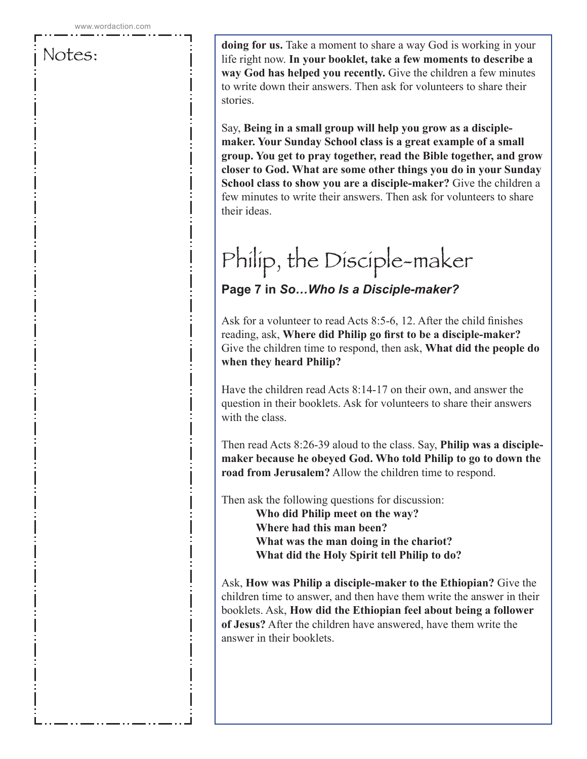**doing for us.** Take a moment to share a way God is working in your life right now. **In your booklet, take a few moments to describe a way God has helped you recently.** Give the children a few minutes to write down their answers. Then ask for volunteers to share their stories.

Say, **Being in a small group will help you grow as a disciplemaker. Your Sunday School class is a great example of a small group. You get to pray together, read the Bible together, and grow closer to God. What are some other things you do in your Sunday School class to show you are a disciple-maker?** Give the children a few minutes to write their answers. Then ask for volunteers to share their ideas.

# Philip, the Disciple-maker

### **Page 7 in** *So…Who Is a Disciple-maker?*

Ask for a volunteer to read Acts 8:5-6, 12. After the child finishes reading, ask, **Where did Philip go first to be a disciple-maker?** Give the children time to respond, then ask, **What did the people do when they heard Philip?** 

Have the children read Acts 8:14-17 on their own, and answer the question in their booklets. Ask for volunteers to share their answers with the class.

Then read Acts 8:26-39 aloud to the class. Say, **Philip was a disciplemaker because he obeyed God. Who told Philip to go to down the road from Jerusalem?** Allow the children time to respond.

Then ask the following questions for discussion: **Who did Philip meet on the way? Where had this man been? What was the man doing in the chariot? What did the Holy Spirit tell Philip to do?**

Ask, **How was Philip a disciple-maker to the Ethiopian?** Give the children time to answer, and then have them write the answer in their booklets. Ask, **How did the Ethiopian feel about being a follower of Jesus?** After the children have answered, have them write the answer in their booklets.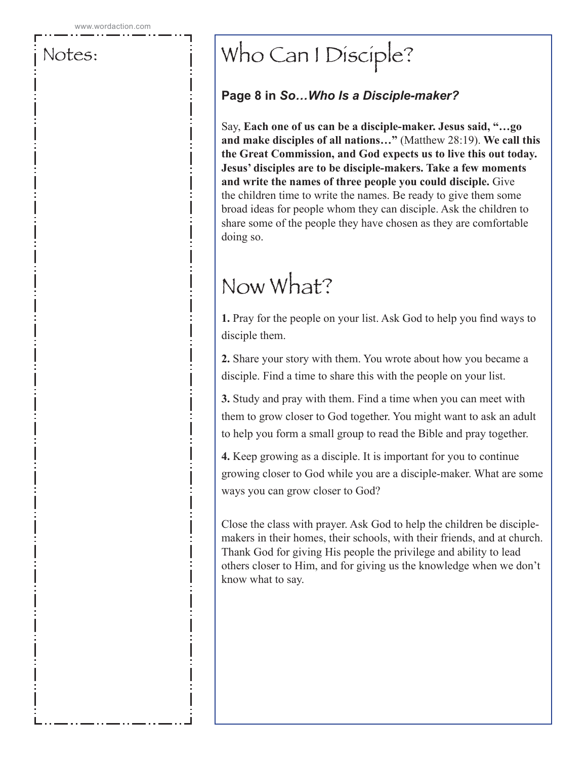# Who Can I Disciple?

### **Page 8 in** *So…Who Is a Disciple-maker?*

Say, **Each one of us can be a disciple-maker. Jesus said, "…go and make disciples of all nations…"** (Matthew 28:19). **We call this the Great Commission, and God expects us to live this out today. Jesus' disciples are to be disciple-makers. Take a few moments and write the names of three people you could disciple.** Give the children time to write the names. Be ready to give them some broad ideas for people whom they can disciple. Ask the children to share some of the people they have chosen as they are comfortable doing so.

# Now What?

**1.** Pray for the people on your list. Ask God to help you find ways to disciple them.

**2.** Share your story with them. You wrote about how you became a disciple. Find a time to share this with the people on your list.

**3.** Study and pray with them. Find a time when you can meet with them to grow closer to God together. You might want to ask an adult to help you form a small group to read the Bible and pray together.

**4.** Keep growing as a disciple. It is important for you to continue growing closer to God while you are a disciple-maker. What are some ways you can grow closer to God?

Close the class with prayer. Ask God to help the children be disciplemakers in their homes, their schools, with their friends, and at church. Thank God for giving His people the privilege and ability to lead others closer to Him, and for giving us the knowledge when we don't know what to say.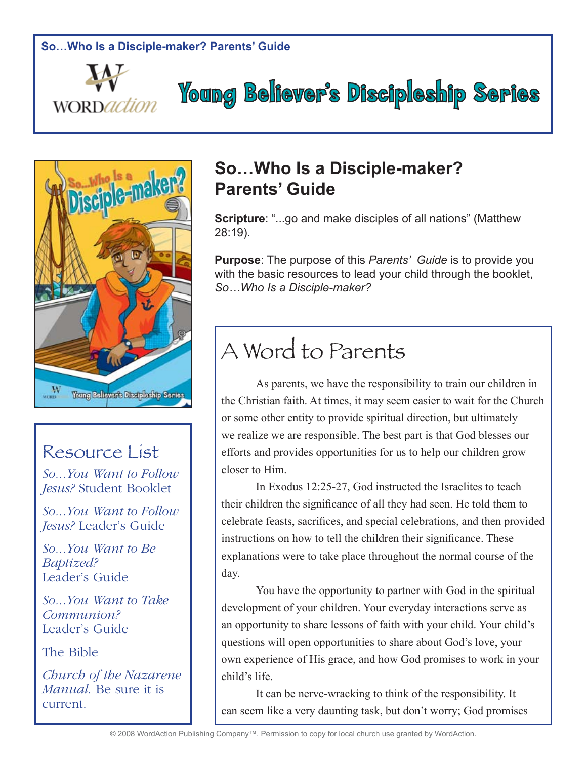



### Resource List

*So...You Want to Follow Jesus?* Student Booklet

*So...You Want to Follow Jesus?* Leader's Guide

*So...You Want to Be Baptized?*  Leader's Guide

*So...You Want to Take Communion?* Leader's Guide

The Bible

*Church of the Nazarene Manual*. Be sure it is current.

### **So…Who Is a Disciple-maker? Parents' Guide**

**Scripture**: "...go and make disciples of all nations" (Matthew 28:19).

**Young Believer's Discipleship Series** 

**Purpose**: The purpose of this *Parents' Guide* is to provide you with the basic resources to lead your child through the booklet, *So…Who Is a Disciple-maker?*

# A Word to Parents

As parents, we have the responsibility to train our children in the Christian faith. At times, it may seem easier to wait for the Church or some other entity to provide spiritual direction, but ultimately we realize we are responsible. The best part is that God blesses our efforts and provides opportunities for us to help our children grow closer to Him.

In Exodus 12:25-27, God instructed the Israelites to teach their children the significance of all they had seen. He told them to celebrate feasts, sacrifices, and special celebrations, and then provided instructions on how to tell the children their significance. These explanations were to take place throughout the normal course of the day.

You have the opportunity to partner with God in the spiritual development of your children. Your everyday interactions serve as an opportunity to share lessons of faith with your child. Your child's questions will open opportunities to share about God's love, your own experience of His grace, and how God promises to work in your child's life.

It can be nerve-wracking to think of the responsibility. It can seem like a very daunting task, but don't worry; God promises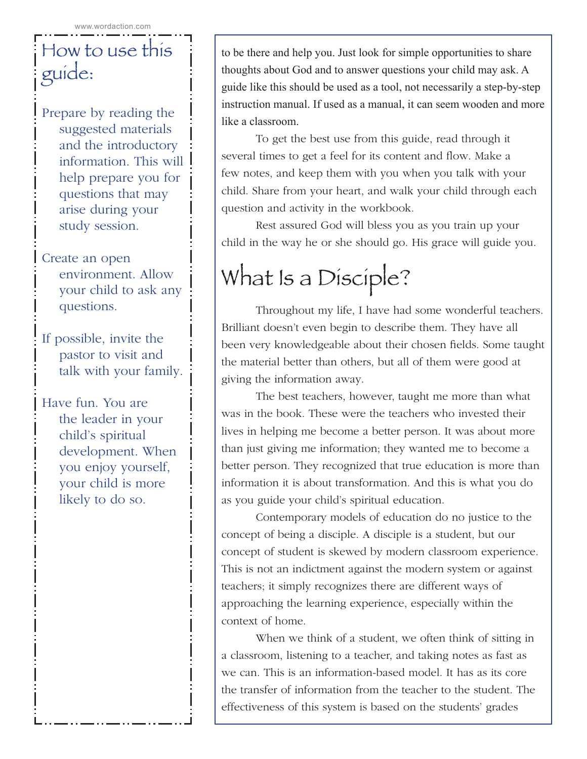# How to use this guide:

Prepare by reading the suggested materials and the introductory information. This will help prepare you for questions that may arise during your study session.

Create an open environment. Allow your child to ask any questions.

If possible, invite the pastor to visit and talk with your family.

Have fun. You are the leader in your child's spiritual development. When you enjoy yourself, your child is more likely to do so.

to be there and help you. Just look for simple opportunities to share thoughts about God and to answer questions your child may ask. A guide like this should be used as a tool, not necessarily a step-by-step instruction manual. If used as a manual, it can seem wooden and more like a classroom.

To get the best use from this guide, read through it several times to get a feel for its content and flow. Make a few notes, and keep them with you when you talk with your child. Share from your heart, and walk your child through each question and activity in the workbook.

Rest assured God will bless you as you train up your child in the way he or she should go. His grace will guide you.

# What Is a Disciple?

Throughout my life, I have had some wonderful teachers. Brilliant doesn't even begin to describe them. They have all been very knowledgeable about their chosen fields. Some taught the material better than others, but all of them were good at giving the information away.

The best teachers, however, taught me more than what was in the book. These were the teachers who invested their lives in helping me become a better person. It was about more than just giving me information; they wanted me to become a better person. They recognized that true education is more than information it is about transformation. And this is what you do as you guide your child's spiritual education.

Contemporary models of education do no justice to the concept of being a disciple. A disciple is a student, but our concept of student is skewed by modern classroom experience. This is not an indictment against the modern system or against teachers; it simply recognizes there are different ways of approaching the learning experience, especially within the context of home.

When we think of a student, we often think of sitting in a classroom, listening to a teacher, and taking notes as fast as we can. This is an information-based model. It has as its core the transfer of information from the teacher to the student. The effectiveness of this system is based on the students' grades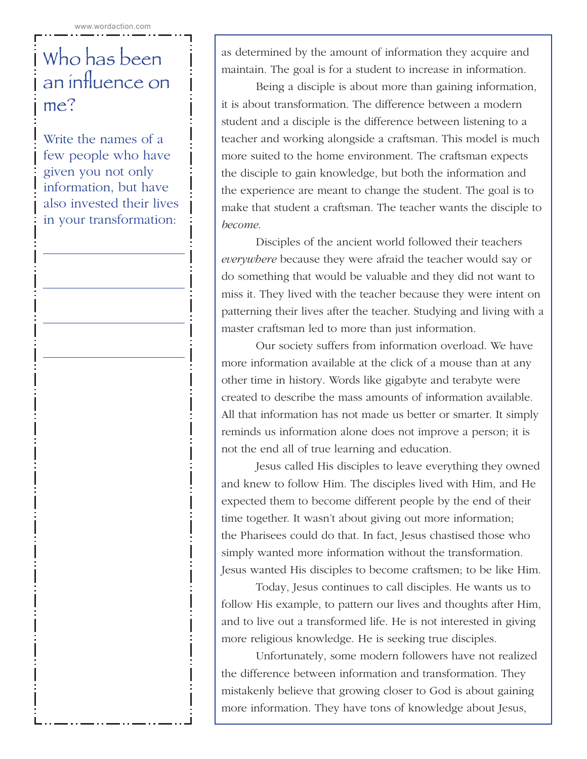# Who has been an influence on me?

Write the names of a few people who have given you not only information, but have also invested their lives in your transformation:

as determined by the amount of information they acquire and maintain. The goal is for a student to increase in information.

Being a disciple is about more than gaining information, it is about transformation. The difference between a modern student and a disciple is the difference between listening to a teacher and working alongside a craftsman. This model is much more suited to the home environment. The craftsman expects the disciple to gain knowledge, but both the information and the experience are meant to change the student. The goal is to make that student a craftsman. The teacher wants the disciple to *become*.

Disciples of the ancient world followed their teachers *everywhere* because they were afraid the teacher would say or do something that would be valuable and they did not want to miss it. They lived with the teacher because they were intent on patterning their lives after the teacher. Studying and living with a master craftsman led to more than just information.

Our society suffers from information overload. We have more information available at the click of a mouse than at any other time in history. Words like gigabyte and terabyte were created to describe the mass amounts of information available. All that information has not made us better or smarter. It simply reminds us information alone does not improve a person; it is not the end all of true learning and education.

Jesus called His disciples to leave everything they owned and knew to follow Him. The disciples lived with Him, and He expected them to become different people by the end of their time together. It wasn't about giving out more information; the Pharisees could do that. In fact, Jesus chastised those who simply wanted more information without the transformation. Jesus wanted His disciples to become craftsmen; to be like Him.

Today, Jesus continues to call disciples. He wants us to follow His example, to pattern our lives and thoughts after Him, and to live out a transformed life. He is not interested in giving more religious knowledge. He is seeking true disciples.

Unfortunately, some modern followers have not realized the difference between information and transformation. They mistakenly believe that growing closer to God is about gaining more information. They have tons of knowledge about Jesus,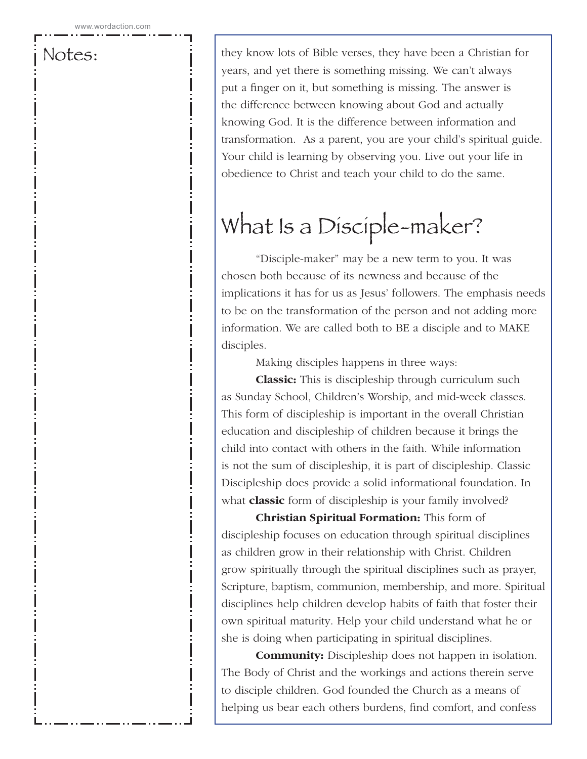they know lots of Bible verses, they have been a Christian for years, and yet there is something missing. We can't always put a finger on it, but something is missing. The answer is the difference between knowing about God and actually knowing God. It is the difference between information and transformation. As a parent, you are your child's spiritual guide. Your child is learning by observing you. Live out your life in obedience to Christ and teach your child to do the same.

# What Is a Disciple-maker?

"Disciple-maker" may be a new term to you. It was chosen both because of its newness and because of the implications it has for us as Jesus' followers. The emphasis needs to be on the transformation of the person and not adding more information. We are called both to BE a disciple and to MAKE disciples.

Making disciples happens in three ways:

**Classic:** This is discipleship through curriculum such as Sunday School, Children's Worship, and mid-week classes. This form of discipleship is important in the overall Christian education and discipleship of children because it brings the child into contact with others in the faith. While information is not the sum of discipleship, it is part of discipleship. Classic Discipleship does provide a solid informational foundation. In what **classic** form of discipleship is your family involved?

**Christian Spiritual Formation:** This form of discipleship focuses on education through spiritual disciplines as children grow in their relationship with Christ. Children grow spiritually through the spiritual disciplines such as prayer, Scripture, baptism, communion, membership, and more. Spiritual disciplines help children develop habits of faith that foster their own spiritual maturity. Help your child understand what he or she is doing when participating in spiritual disciplines.

**Community:** Discipleship does not happen in isolation. The Body of Christ and the workings and actions therein serve to disciple children. God founded the Church as a means of helping us bear each others burdens, find comfort, and confess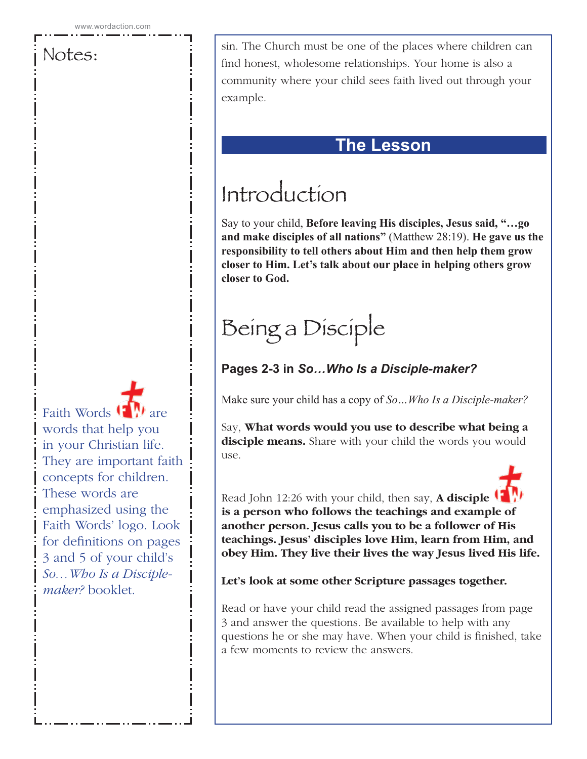sin. The Church must be one of the places where children can find honest, wholesome relationships. Your home is also a community where your child sees faith lived out through your example.

### **The Lesson**

# Introduction

Say to your child, **Before leaving His disciples, Jesus said, "…go and make disciples of all nations"** (Matthew 28:19). **He gave us the responsibility to tell others about Him and then help them grow closer to Him. Let's talk about our place in helping others grow closer to God.**

# Being a Disciple

### **Pages 2-3 in** *So…Who Is a Disciple-maker?*

Make sure your child has a copy of *So…Who Is a Disciple-maker?*

Say, **What words would you use to describe what being a disciple means.** Share with your child the words you would use.

Read John 12:26 with your child, then say, **A disciple is a person who follows the teachings and example of another person. Jesus calls you to be a follower of His teachings. Jesus' disciples love Him, learn from Him, and obey Him. They live their lives the way Jesus lived His life.**

### **Let's look at some other Scripture passages together.**

Read or have your child read the assigned passages from page 3 and answer the questions. Be available to help with any questions he or she may have. When your child is finished, take a few moments to review the answers.

Faith Words  $\left(\begin{array}{c} \bullet \\ \bullet \end{array}\right)$  are words that help you in your Christian life. They are important faith concepts for children. These words are emphasized using the Faith Words' logo. Look for definitions on pages 3 and 5 of your child's *So…Who Is a Disciplemaker?* booklet.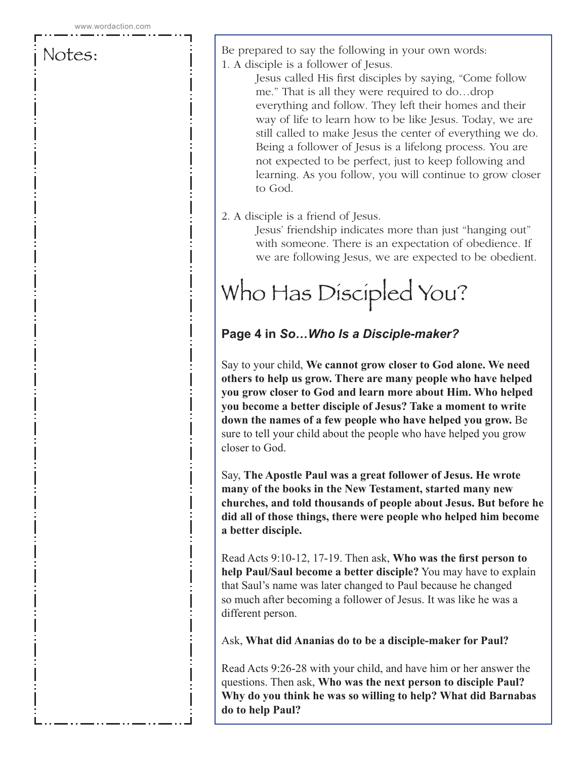Be prepared to say the following in your own words: 1. A disciple is a follower of Jesus.

Jesus called His first disciples by saying, "Come follow me." That is all they were required to do…drop everything and follow. They left their homes and their way of life to learn how to be like Jesus. Today, we are still called to make Jesus the center of everything we do. Being a follower of Jesus is a lifelong process. You are not expected to be perfect, just to keep following and learning. As you follow, you will continue to grow closer to God.

#### 2. A disciple is a friend of Jesus.

Jesus' friendship indicates more than just "hanging out" with someone. There is an expectation of obedience. If we are following Jesus, we are expected to be obedient.

# Who Has Discipled You?

### **Page 4 in** *So…Who Is a Disciple-maker?*

Say to your child, **We cannot grow closer to God alone. We need others to help us grow. There are many people who have helped you grow closer to God and learn more about Him. Who helped you become a better disciple of Jesus? Take a moment to write down the names of a few people who have helped you grow.** Be sure to tell your child about the people who have helped you grow closer to God.

Say, **The Apostle Paul was a great follower of Jesus. He wrote many of the books in the New Testament, started many new churches, and told thousands of people about Jesus. But before he did all of those things, there were people who helped him become a better disciple.** 

Read Acts 9:10-12, 17-19. Then ask, **Who was the first person to help Paul/Saul become a better disciple?** You may have to explain that Saul's name was later changed to Paul because he changed so much after becoming a follower of Jesus. It was like he was a different person.

Ask, **What did Ananias do to be a disciple-maker for Paul?** 

Read Acts 9:26-28 with your child, and have him or her answer the questions. Then ask, **Who was the next person to disciple Paul? Why do you think he was so willing to help? What did Barnabas do to help Paul?**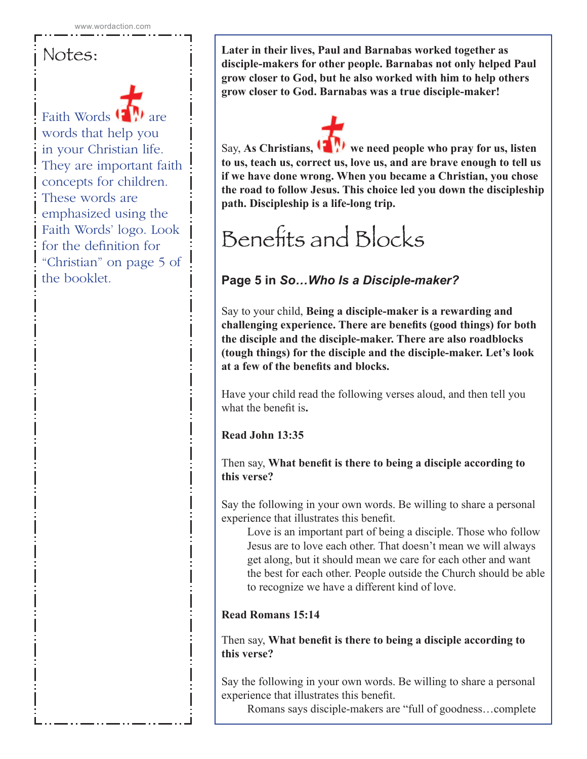Faith Words  $\left(\begin{matrix} \bullet & \bullet \\ \bullet & \bullet \end{matrix}\right)$ words that help you in your Christian life. They are important faith concepts for children. These words are emphasized using the Faith Words' logo. Look for the definition for "Christian" on page 5 of the booklet.

**Later in their lives, Paul and Barnabas worked together as disciple-makers for other people. Barnabas not only helped Paul grow closer to God, but he also worked with him to help others grow closer to God. Barnabas was a true disciple-maker!**

Say, As Christians, **W** we need people who pray for us, listen **to us, teach us, correct us, love us, and are brave enough to tell us if we have done wrong. When you became a Christian, you chose the road to follow Jesus. This choice led you down the discipleship path. Discipleship is a life-long trip.** 

# Benefits and Blocks

### **Page 5 in** *So…Who Is a Disciple-maker?*

Say to your child, **Being a disciple-maker is a rewarding and challenging experience. There are benefits (good things) for both the disciple and the disciple-maker. There are also roadblocks (tough things) for the disciple and the disciple-maker. Let's look at a few of the benefits and blocks.**

Have your child read the following verses aloud, and then tell you what the benefit is**.** 

**Read John 13:35**

Then say, **What benefit is there to being a disciple according to this verse?**

Say the following in your own words. Be willing to share a personal experience that illustrates this benefit.

Love is an important part of being a disciple. Those who follow Jesus are to love each other. That doesn't mean we will always get along, but it should mean we care for each other and want the best for each other. People outside the Church should be able to recognize we have a different kind of love.

### **Read Romans 15:14**

Then say, **What benefit is there to being a disciple according to this verse?**

Say the following in your own words. Be willing to share a personal experience that illustrates this benefit.

Romans says disciple-makers are "full of goodness…complete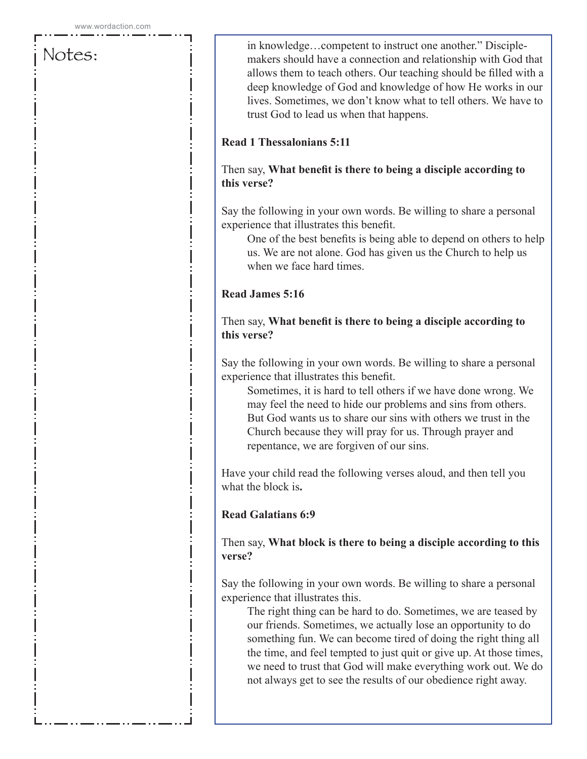in knowledge…competent to instruct one another." Disciplemakers should have a connection and relationship with God that allows them to teach others. Our teaching should be filled with a deep knowledge of God and knowledge of how He works in our lives. Sometimes, we don't know what to tell others. We have to trust God to lead us when that happens.

#### **Read 1 Thessalonians 5:11**

#### Then say, **What benefit is there to being a disciple according to this verse?**

Say the following in your own words. Be willing to share a personal experience that illustrates this benefit.

One of the best benefits is being able to depend on others to help us. We are not alone. God has given us the Church to help us when we face hard times.

#### **Read James 5:16**

Then say, **What benefit is there to being a disciple according to this verse?**

Say the following in your own words. Be willing to share a personal experience that illustrates this benefit.

Sometimes, it is hard to tell others if we have done wrong. We may feel the need to hide our problems and sins from others. But God wants us to share our sins with others we trust in the Church because they will pray for us. Through prayer and repentance, we are forgiven of our sins.

Have your child read the following verses aloud, and then tell you what the block is**.** 

#### **Read Galatians 6:9**

Then say, **What block is there to being a disciple according to this verse?**

Say the following in your own words. Be willing to share a personal experience that illustrates this.

The right thing can be hard to do. Sometimes, we are teased by our friends. Sometimes, we actually lose an opportunity to do something fun. We can become tired of doing the right thing all the time, and feel tempted to just quit or give up. At those times, we need to trust that God will make everything work out. We do not always get to see the results of our obedience right away.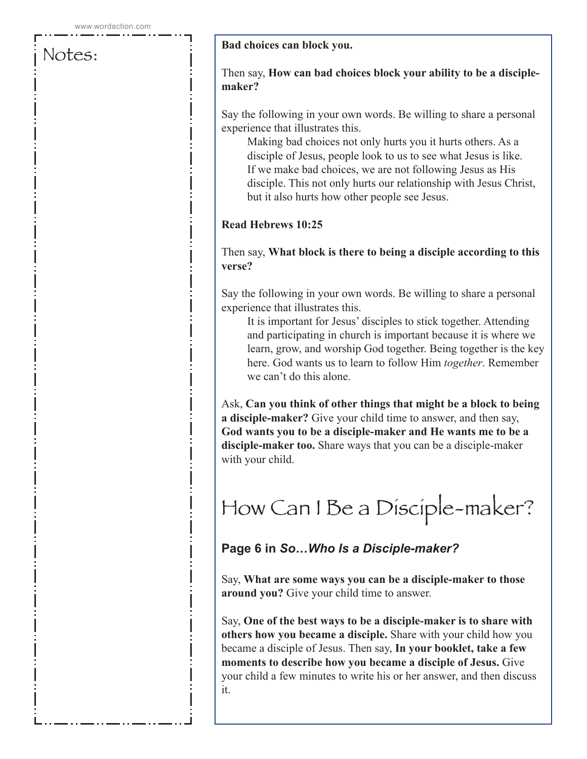#### **Bad choices can block you.**

#### Then say, **How can bad choices block your ability to be a disciplemaker?**

Say the following in your own words. Be willing to share a personal experience that illustrates this.

Making bad choices not only hurts you it hurts others. As a disciple of Jesus, people look to us to see what Jesus is like. If we make bad choices, we are not following Jesus as His disciple. This not only hurts our relationship with Jesus Christ, but it also hurts how other people see Jesus.

#### **Read Hebrews 10:25**

#### Then say, **What block is there to being a disciple according to this verse?**

Say the following in your own words. Be willing to share a personal experience that illustrates this.

It is important for Jesus' disciples to stick together. Attending and participating in church is important because it is where we learn, grow, and worship God together. Being together is the key here. God wants us to learn to follow Him *together*. Remember we can't do this alone.

Ask, **Can you think of other things that might be a block to being a disciple-maker?** Give your child time to answer, and then say, **God wants you to be a disciple-maker and He wants me to be a disciple-maker too.** Share ways that you can be a disciple-maker with your child.

# How Can I Be a Disciple-maker?

### **Page 6 in** *So…Who Is a Disciple-maker?*

Say, **What are some ways you can be a disciple-maker to those around you?** Give your child time to answer.

Say, **One of the best ways to be a disciple-maker is to share with others how you became a disciple.** Share with your child how you became a disciple of Jesus. Then say, **In your booklet, take a few moments to describe how you became a disciple of Jesus.** Give your child a few minutes to write his or her answer, and then discuss it.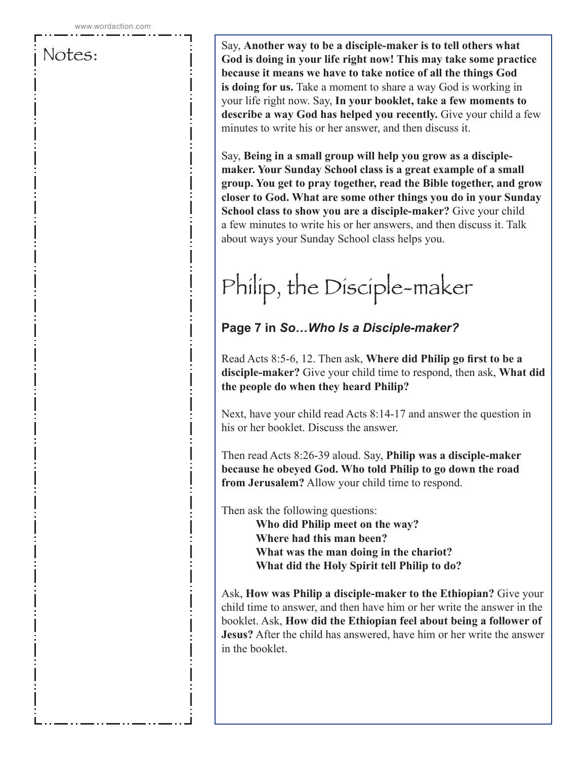Say, **Another way to be a disciple-maker is to tell others what God is doing in your life right now! This may take some practice because it means we have to take notice of all the things God is doing for us.** Take a moment to share a way God is working in your life right now. Say, **In your booklet, take a few moments to describe a way God has helped you recently.** Give your child a few minutes to write his or her answer, and then discuss it.

Say, **Being in a small group will help you grow as a disciplemaker. Your Sunday School class is a great example of a small group. You get to pray together, read the Bible together, and grow closer to God. What are some other things you do in your Sunday School class to show you are a disciple-maker?** Give your child a few minutes to write his or her answers, and then discuss it. Talk about ways your Sunday School class helps you.

# Philip, the Disciple-maker

### **Page 7 in** *So…Who Is a Disciple-maker?*

Read Acts 8:5-6, 12. Then ask, **Where did Philip go first to be a disciple-maker?** Give your child time to respond, then ask, **What did the people do when they heard Philip?** 

Next, have your child read Acts 8:14-17 and answer the question in his or her booklet. Discuss the answer.

Then read Acts 8:26-39 aloud. Say, **Philip was a disciple-maker because he obeyed God. Who told Philip to go down the road from Jerusalem?** Allow your child time to respond.

Then ask the following questions:

**Who did Philip meet on the way? Where had this man been? What was the man doing in the chariot? What did the Holy Spirit tell Philip to do?**

Ask, **How was Philip a disciple-maker to the Ethiopian?** Give your child time to answer, and then have him or her write the answer in the booklet. Ask, **How did the Ethiopian feel about being a follower of Jesus?** After the child has answered, have him or her write the answer in the booklet.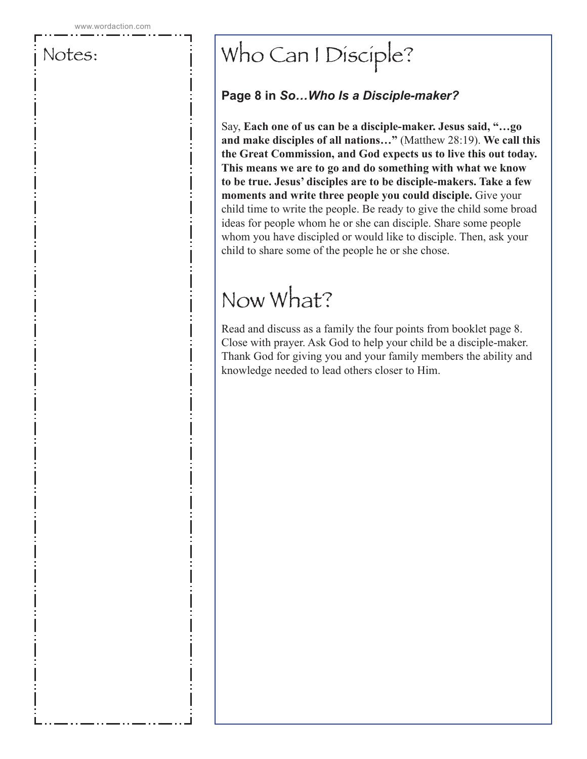# Who Can I Disciple?

### **Page 8 in** *So…Who Is a Disciple-maker?*

Say, **Each one of us can be a disciple-maker. Jesus said, "…go and make disciples of all nations…"** (Matthew 28:19). **We call this the Great Commission, and God expects us to live this out today. This means we are to go and do something with what we know to be true. Jesus' disciples are to be disciple-makers. Take a few moments and write three people you could disciple.** Give your child time to write the people. Be ready to give the child some broad ideas for people whom he or she can disciple. Share some people whom you have discipled or would like to disciple. Then, ask your child to share some of the people he or she chose.

# Now What?

Read and discuss as a family the four points from booklet page 8. Close with prayer. Ask God to help your child be a disciple-maker. Thank God for giving you and your family members the ability and knowledge needed to lead others closer to Him.